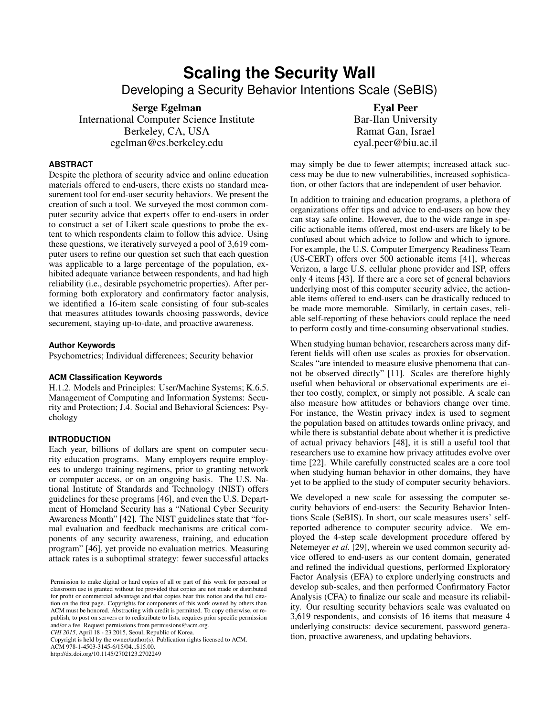# **Scaling the Security Wall**

Developing a Security Behavior Intentions Scale (SeBIS)

Serge Egelman

International Computer Science Institute Berkeley, CA, USA egelman@cs.berkeley.edu

# **ABSTRACT**

Despite the plethora of security advice and online education materials offered to end-users, there exists no standard measurement tool for end-user security behaviors. We present the creation of such a tool. We surveyed the most common computer security advice that experts offer to end-users in order to construct a set of Likert scale questions to probe the extent to which respondents claim to follow this advice. Using these questions, we iteratively surveyed a pool of 3,619 computer users to refine our question set such that each question was applicable to a large percentage of the population, exhibited adequate variance between respondents, and had high reliability (i.e., desirable psychometric properties). After performing both exploratory and confirmatory factor analysis, we identified a 16-item scale consisting of four sub-scales that measures attitudes towards choosing passwords, device securement, staying up-to-date, and proactive awareness.

# **Author Keywords**

Psychometrics; Individual differences; Security behavior

# **ACM Classification Keywords**

H.1.2. Models and Principles: User/Machine Systems; K.6.5. Management of Computing and Information Systems: Security and Protection; J.4. Social and Behavioral Sciences: Psychology

# **INTRODUCTION**

Each year, billions of dollars are spent on computer security education programs. Many employers require employees to undergo training regimens, prior to granting network or computer access, or on an ongoing basis. The U.S. National Institute of Standards and Technology (NIST) offers guidelines for these programs [\[46\]](#page-9-0), and even the U.S. Department of Homeland Security has a "National Cyber Security Awareness Month" [\[42\]](#page-9-1). The NIST guidelines state that "formal evaluation and feedback mechanisms are critical components of any security awareness, training, and education program" [\[46\]](#page-9-0), yet provide no evaluation metrics. Measuring attack rates is a suboptimal strategy: fewer successful attacks

*CHI 2015*, April 18 - 23 2015, Seoul, Republic of Korea. Copyright is held by the owner/author(s). Publication rights licensed to ACM.

ACM 978-1-4503-3145-6/15/04...\$15.00.

http://dx.doi.org/10.1145/2702123.2702249

Eyal Peer Bar-Ilan University Ramat Gan, Israel eyal.peer@biu.ac.il

may simply be due to fewer attempts; increased attack success may be due to new vulnerabilities, increased sophistication, or other factors that are independent of user behavior.

In addition to training and education programs, a plethora of organizations offer tips and advice to end-users on how they can stay safe online. However, due to the wide range in specific actionable items offered, most end-users are likely to be confused about which advice to follow and which to ignore. For example, the U.S. Computer Emergency Readiness Team (US-CERT) offers over 500 actionable items [\[41\]](#page-9-2), whereas Verizon, a large U.S. cellular phone provider and ISP, offers only 4 items [\[43\]](#page-9-3). If there are a core set of general behaviors underlying most of this computer security advice, the actionable items offered to end-users can be drastically reduced to be made more memorable. Similarly, in certain cases, reliable self-reporting of these behaviors could replace the need to perform costly and time-consuming observational studies.

When studying human behavior, researchers across many different fields will often use scales as proxies for observation. Scales "are intended to measure elusive phenomena that cannot be observed directly" [\[11\]](#page-8-0). Scales are therefore highly useful when behavioral or observational experiments are either too costly, complex, or simply not possible. A scale can also measure how attitudes or behaviors change over time. For instance, the Westin privacy index is used to segment the population based on attitudes towards online privacy, and while there is substantial debate about whether it is predictive of actual privacy behaviors [\[48\]](#page-9-4), it is still a useful tool that researchers use to examine how privacy attitudes evolve over time [\[22\]](#page-9-5). While carefully constructed scales are a core tool when studying human behavior in other domains, they have yet to be applied to the study of computer security behaviors.

We developed a new scale for assessing the computer security behaviors of end-users: the Security Behavior Intentions Scale (SeBIS). In short, our scale measures users' selfreported adherence to computer security advice. We employed the 4-step scale development procedure offered by Netemeyer *et al.* [\[29\]](#page-9-6), wherein we used common security advice offered to end-users as our content domain, generated and refined the individual questions, performed Exploratory Factor Analysis (EFA) to explore underlying constructs and develop sub-scales, and then performed Confirmatory Factor Analysis (CFA) to finalize our scale and measure its reliability. Our resulting security behaviors scale was evaluated on 3,619 respondents, and consists of 16 items that measure 4 underlying constructs: device securement, password generation, proactive awareness, and updating behaviors.

Permission to make digital or hard copies of all or part of this work for personal or classroom use is granted without fee provided that copies are not made or distributed for profit or commercial advantage and that copies bear this notice and the full citation on the first page. Copyrights for components of this work owned by others than ACM must be honored. Abstracting with credit is permitted. To copy otherwise, or republish, to post on servers or to redistribute to lists, requires prior specific permission and/or a fee. Request permissions from permissions@acm.org.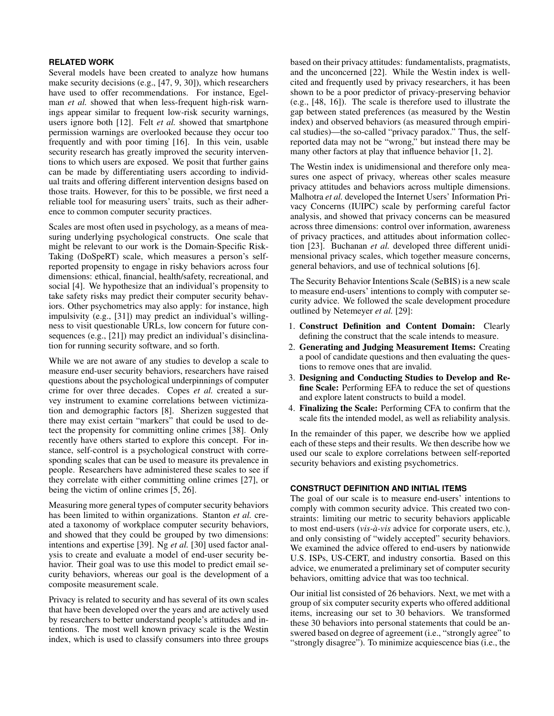# **RELATED WORK**

Several models have been created to analyze how humans make security decisions (e.g., [\[47,](#page-9-7) [9,](#page-8-1) [30\]](#page-9-8)), which researchers have used to offer recommendations. For instance, Egelman *et al.* showed that when less-frequent high-risk warnings appear similar to frequent low-risk security warnings, users ignore both [\[12\]](#page-8-2). Felt *et al.* showed that smartphone permission warnings are overlooked because they occur too frequently and with poor timing [\[16\]](#page-8-3). In this vein, usable security research has greatly improved the security interventions to which users are exposed. We posit that further gains can be made by differentiating users according to individual traits and offering different intervention designs based on those traits. However, for this to be possible, we first need a reliable tool for measuring users' traits, such as their adherence to common computer security practices.

Scales are most often used in psychology, as a means of measuring underlying psychological constructs. One scale that might be relevant to our work is the Domain-Specific Risk-Taking (DoSpeRT) scale, which measures a person's selfreported propensity to engage in risky behaviors across four dimensions: ethical, financial, health/safety, recreational, and social [\[4\]](#page-8-4). We hypothesize that an individual's propensity to take safety risks may predict their computer security behaviors. Other psychometrics may also apply: for instance, high impulsivity (e.g., [\[31\]](#page-9-9)) may predict an individual's willingness to visit questionable URLs, low concern for future consequences (e.g., [\[21\]](#page-8-5)) may predict an individual's disinclination for running security software, and so forth.

While we are not aware of any studies to develop a scale to measure end-user security behaviors, researchers have raised questions about the psychological underpinnings of computer crime for over three decades. Copes *et al.* created a survey instrument to examine correlations between victimization and demographic factors [\[8\]](#page-8-6). Sherizen suggested that there may exist certain "markers" that could be used to detect the propensity for committing online crimes [\[38\]](#page-9-10). Only recently have others started to explore this concept. For instance, self-control is a psychological construct with corresponding scales that can be used to measure its prevalence in people. Researchers have administered these scales to see if they correlate with either committing online crimes [\[27\]](#page-9-11), or being the victim of online crimes [\[5,](#page-8-7) [26\]](#page-9-12).

Measuring more general types of computer security behaviors has been limited to within organizations. Stanton *et al.* created a taxonomy of workplace computer security behaviors, and showed that they could be grouped by two dimensions: intentions and expertise [\[39\]](#page-9-13). Ng *et al.* [\[30\]](#page-9-8) used factor analysis to create and evaluate a model of end-user security behavior. Their goal was to use this model to predict email security behaviors, whereas our goal is the development of a composite measurement scale.

Privacy is related to security and has several of its own scales that have been developed over the years and are actively used by researchers to better understand people's attitudes and intentions. The most well known privacy scale is the Westin index, which is used to classify consumers into three groups

based on their privacy attitudes: fundamentalists, pragmatists, and the unconcerned [\[22\]](#page-9-5). While the Westin index is wellcited and frequently used by privacy researchers, it has been shown to be a poor predictor of privacy-preserving behavior (e.g., [\[48,](#page-9-4) [16\]](#page-8-3)). The scale is therefore used to illustrate the gap between stated preferences (as measured by the Westin index) and observed behaviors (as measured through empirical studies)—the so-called "privacy paradox." Thus, the selfreported data may not be "wrong," but instead there may be many other factors at play that influence behavior [\[1,](#page-8-8) [2\]](#page-8-9).

The Westin index is unidimensional and therefore only measures one aspect of privacy, whereas other scales measure privacy attitudes and behaviors across multiple dimensions. Malhotra *et al.* developed the Internet Users' Information Privacy Concerns (IUIPC) scale by performing careful factor analysis, and showed that privacy concerns can be measured across three dimensions: control over information, awareness of privacy practices, and attitudes about information collection [\[23\]](#page-9-14). Buchanan *et al.* developed three different unidimensional privacy scales, which together measure concerns, general behaviors, and use of technical solutions [\[6\]](#page-8-10).

The Security Behavior Intentions Scale (SeBIS) is a new scale to measure end-users' intentions to comply with computer security advice. We followed the scale development procedure outlined by Netemeyer *et al.* [\[29\]](#page-9-6):

- 1. Construct Definition and Content Domain: Clearly defining the construct that the scale intends to measure.
- 2. Generating and Judging Measurement Items: Creating a pool of candidate questions and then evaluating the questions to remove ones that are invalid.
- 3. Designing and Conducting Studies to Develop and Refine Scale: Performing EFA to reduce the set of questions and explore latent constructs to build a model.
- 4. Finalizing the Scale: Performing CFA to confirm that the scale fits the intended model, as well as reliability analysis.

In the remainder of this paper, we describe how we applied each of these steps and their results. We then describe how we used our scale to explore correlations between self-reported security behaviors and existing psychometrics.

# **CONSTRUCT DEFINITION AND INITIAL ITEMS**

The goal of our scale is to measure end-users' intentions to comply with common security advice. This created two constraints: limiting our metric to security behaviors applicable to most end-users (*vis-a-vis `* advice for corporate users, etc.), and only consisting of "widely accepted" security behaviors. We examined the advice offered to end-users by nationwide U.S. ISPs, US-CERT, and industry consortia. Based on this advice, we enumerated a preliminary set of computer security behaviors, omitting advice that was too technical.

Our initial list consisted of 26 behaviors. Next, we met with a group of six computer security experts who offered additional items, increasing our set to 30 behaviors. We transformed these 30 behaviors into personal statements that could be answered based on degree of agreement (i.e., "strongly agree" to "strongly disagree"). To minimize acquiescence bias (i.e., the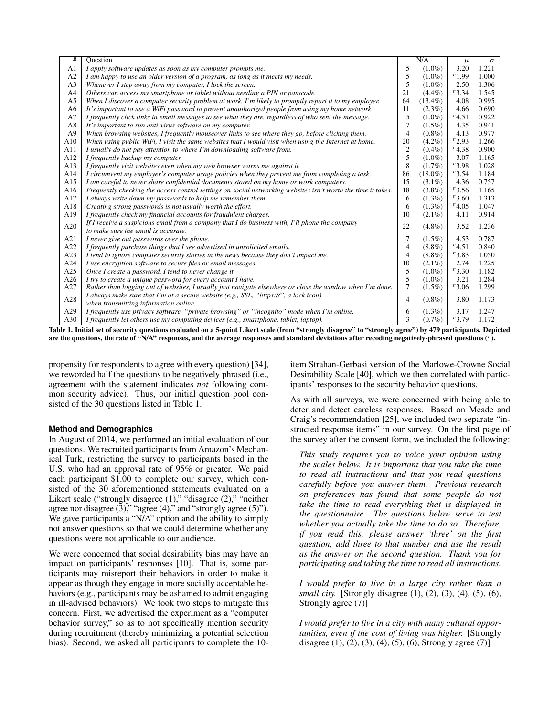| #              | Ouestion                                                                                                     |                | N/A        | $\mu$      | $\sigma$ |
|----------------|--------------------------------------------------------------------------------------------------------------|----------------|------------|------------|----------|
| A <sub>1</sub> | I apply software updates as soon as my computer prompts me.                                                  | 5              | $(1.0\%)$  | 3.20       | 1.221    |
| A2             | I am happy to use an older version of a program, as long as it meets my needs.                               | 5              | $(1.0\%)$  | $r_{1.99}$ | 1.000    |
| A <sub>3</sub> | Whenever I step away from my computer, I lock the screen.                                                    | 5              | $(1.0\%)$  | 2.50       | 1.306    |
| A4             | Others can access my smartphone or tablet without needing a PIN or passcode.                                 | 21             | $(4.4\%)$  | $r_{3.34}$ | 1.545    |
| A <sub>5</sub> | When I discover a computer security problem at work, I'm likely to promptly report it to my employer.        | 64             | $(13.4\%)$ | 4.08       | 0.995    |
| A6             | It's important to use a WiFi password to prevent unauthorized people from using my home network.             | 11             | $(2.3\%)$  | 4.66       | 0.690    |
| A7             | I frequently click links in email messages to see what they are, regardless of who sent the message.         | 5              | $(1.0\%)$  | $r_{4.51}$ | 0.922    |
| A8             | It's important to run anti-virus software on my computer.                                                    | 7              | $(1.5\%)$  | 4.35       | 0.941    |
| A <sup>9</sup> | When browsing websites, I frequently mouseover links to see where they go, before clicking them.             | $\overline{4}$ | $(0.8\%)$  | 4.13       | 0.977    |
| A10            | When using public WiFi, I visit the same websites that I would visit when using the Internet at home.        | 20             | $(4.2\%)$  | $r_{2.93}$ | 1.266    |
| A11            | I usually do not pay attention to where I'm downloading software from.                                       | $\overline{2}$ | $(0.4\%)$  | $r_{4.38}$ | 0.900    |
| A12            | I frequently backup my computer.                                                                             | 5              | $(1.0\%)$  | 3.07       | 1.165    |
| A13            | I frequently visit websites even when my web browser warns me against it.                                    | 8              | $(1.7\%)$  | $r_{3.98}$ | 1.028    |
| A14            | I circumvent my employer's computer usage policies when they prevent me from completing a task.              | 86             | $(18.0\%)$ | $r_{3.54}$ | 1.184    |
| A15            | I am careful to never share confidential documents stored on my home or work computers.                      | 15             | $(3.1\%)$  | 4.36       | 0.757    |
| A16            | Frequently checking the access control settings on social networking websites isn't worth the time it takes. | 18             | $(3.8\%)$  | $r_{3.56}$ | 1.165    |
| A17            | I always write down my passwords to help me remember them.                                                   | 6              | $(1.3\%)$  | $r_{3.60}$ | 1.313    |
| A18            | Creating strong passwords is not usually worth the effort.                                                   | 6              | $(1.3\%)$  | $r_{4.05}$ | 1.047    |
| A19            | I frequently check my financial accounts for fraudulent charges.                                             | 10             | $(2.1\%)$  | 4.11       | 0.914    |
| A20            | If I receive a suspicious email from a company that I do business with, I'll phone the company               | 22             | $(4.8\%)$  | 3.52       | 1.236    |
|                | to make sure the email is accurate.                                                                          |                |            |            |          |
| A21            | I never give out passwords over the phone.                                                                   | 7              | $(1.5\%)$  | 4.53       | 0.787    |
| A22            | I frequently purchase things that I see advertised in unsolicited emails.                                    | 4              | $(8.8\%)$  | $r_{4.51}$ | 0.840    |
| A23            | I tend to ignore computer security stories in the news because they don't impact me.                         | 4              | $(8.8\%)$  | $r_{3.83}$ | 1.050    |
| A24            | I use encryption software to secure files or email messages.                                                 | 10             | $(2.1\%)$  | 2.74       | 1.225    |
| A25            | Once I create a password, I tend to never change it.                                                         | 5              | $(1.0\%)$  | $r_{3.30}$ | 1.182    |
| A26            | I try to create a unique password for every account I have.                                                  | 5              | $(1.0\%)$  | 3.21       | 1.284    |
| A27            | Rather than logging out of websites, I usually just navigate elsewhere or close the window when I'm done.    | $\overline{7}$ | $(1.5\%)$  | $r_{3.06}$ | 1.299    |
| A28            | I always make sure that I'm at a secure website (e.g., SSL, "https://", a lock icon)                         |                |            | 3.80       | 1.173    |
|                | when transmitting information online.                                                                        | 4              | $(0.8\%)$  |            |          |
| A29            | I frequently use privacy software, "private browsing" or "incognito" mode when I'm online.                   | 6              | $(1.3\%)$  | 3.17       | 1.247    |
| A30            | I frequently let others use my computing devices (e.g., smartphone, tablet, laptop).                         | 3              | $(0.7\%)$  | r3.79      | 1.172    |

<span id="page-2-0"></span>Table 1. Initial set of security questions evaluated on a 5-point Likert scale (from "strongly disagree" to "strongly agree") by 479 participants. Depicted are the questions, the rate of "N/A" responses, and the average responses and standard deviations after recoding negatively-phrased questions (").

propensity for respondents to agree with every question) [\[34\]](#page-9-15), we reworded half the questions to be negatively phrased (i.e., agreement with the statement indicates *not* following common security advice). Thus, our initial question pool consisted of the 30 questions listed in Table [1.](#page-2-0)

#### **Method and Demographics**

In August of 2014, we performed an initial evaluation of our questions. We recruited participants from Amazon's Mechanical Turk, restricting the survey to participants based in the U.S. who had an approval rate of 95% or greater. We paid each participant \$1.00 to complete our survey, which consisted of the 30 aforementioned statements evaluated on a Likert scale ("strongly disagree (1)," "disagree (2)," "neither agree nor disagree (3)," "agree (4)," and "strongly agree (5)"). We gave participants a "N/A" option and the ability to simply not answer questions so that we could determine whether any questions were not applicable to our audience.

We were concerned that social desirability bias may have an impact on participants' responses [\[10\]](#page-8-11). That is, some participants may misreport their behaviors in order to make it appear as though they engage in more socially acceptable behaviors (e.g., participants may be ashamed to admit engaging in ill-advised behaviors). We took two steps to mitigate this concern. First, we advertised the experiment as a "computer behavior survey," so as to not specifically mention security during recruitment (thereby minimizing a potential selection bias). Second, we asked all participants to complete the 10item Strahan-Gerbasi version of the Marlowe-Crowne Social Desirability Scale [\[40\]](#page-9-16), which we then correlated with participants' responses to the security behavior questions.

As with all surveys, we were concerned with being able to deter and detect careless responses. Based on Meade and Craig's recommendation [\[25\]](#page-9-17), we included two separate "instructed response items" in our survey. On the first page of the survey after the consent form, we included the following:

*This study requires you to voice your opinion using the scales below. It is important that you take the time to read all instructions and that you read questions carefully before you answer them. Previous research on preferences has found that some people do not take the time to read everything that is displayed in the questionnaire. The questions below serve to test whether you actually take the time to do so. Therefore, if you read this, please answer 'three' on the first question, add three to that number and use the result as the answer on the second question. Thank you for participating and taking the time to read all instructions.*

*I would prefer to live in a large city rather than a small city.* [Strongly disagree (1), (2), (3), (4), (5), (6), Strongly agree (7)]

*I would prefer to live in a city with many cultural opportunities, even if the cost of living was higher.* [Strongly disagree  $(1)$ ,  $(2)$ ,  $(3)$ ,  $(4)$ ,  $(5)$ ,  $(6)$ , Strongly agree  $(7)$ ]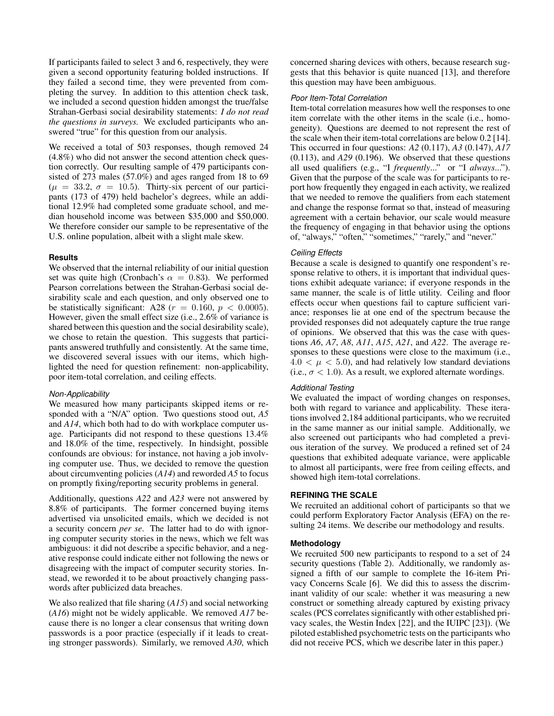If participants failed to select 3 and 6, respectively, they were given a second opportunity featuring bolded instructions. If they failed a second time, they were prevented from completing the survey. In addition to this attention check task, we included a second question hidden amongst the true/false Strahan-Gerbasi social desirability statements: *I do not read the questions in surveys.* We excluded participants who answered "true" for this question from our analysis.

We received a total of 503 responses, though removed 24 (4.8%) who did not answer the second attention check question correctly. Our resulting sample of 479 participants consisted of 273 males (57.0%) and ages ranged from 18 to 69  $(\mu = 33.2, \sigma = 10.5)$ . Thirty-six percent of our participants (173 of 479) held bachelor's degrees, while an additional 12.9% had completed some graduate school, and median household income was between \$35,000 and \$50,000. We therefore consider our sample to be representative of the U.S. online population, albeit with a slight male skew.

#### **Results**

We observed that the internal reliability of our initial question set was quite high (Cronbach's  $\alpha = 0.83$ ). We performed Pearson correlations between the Strahan-Gerbasi social desirability scale and each question, and only observed one to be statistically significant: A28 ( $r = 0.160$ ,  $p < 0.0005$ ). However, given the small effect size (i.e., 2.6% of variance is shared between this question and the social desirability scale), we chose to retain the question. This suggests that participants answered truthfully and consistently. At the same time, we discovered several issues with our items, which highlighted the need for question refinement: non-applicability, poor item-total correlation, and ceiling effects.

## *Non-Applicability*

We measured how many participants skipped items or responded with a "N/A" option. Two questions stood out, *A5* and *A14*, which both had to do with workplace computer usage. Participants did not respond to these questions 13.4% and 18.0% of the time, respectively. In hindsight, possible confounds are obvious: for instance, not having a job involving computer use. Thus, we decided to remove the question about circumventing policies (*A14*) and reworded *A5* to focus on promptly fixing/reporting security problems in general.

Additionally, questions *A22* and *A23* were not answered by 8.8% of participants. The former concerned buying items advertised via unsolicited emails, which we decided is not a security concern *per se*. The latter had to do with ignoring computer security stories in the news, which we felt was ambiguous: it did not describe a specific behavior, and a negative response could indicate either not following the news or disagreeing with the impact of computer security stories. Instead, we reworded it to be about proactively changing passwords after publicized data breaches.

We also realized that file sharing (*A15*) and social networking (*A16*) might not be widely applicable. We removed *A17* because there is no longer a clear consensus that writing down passwords is a poor practice (especially if it leads to creating stronger passwords). Similarly, we removed *A30*, which concerned sharing devices with others, because research suggests that this behavior is quite nuanced [\[13\]](#page-8-12), and therefore this question may have been ambiguous.

#### *Poor Item-Total Correlation*

Item-total correlation measures how well the responses to one item correlate with the other items in the scale (i.e., homogeneity). Questions are deemed to not represent the rest of the scale when their item-total correlations are below 0.2 [\[14\]](#page-8-13). This occurred in four questions: *A2* (0.117), *A3* (0.147), *A17* (0.113), and *A29* (0.196). We observed that these questions all used qualifiers (e.g., "I *frequently*..." or "I *always*..."). Given that the purpose of the scale was for participants to report how frequently they engaged in each activity, we realized that we needed to remove the qualifiers from each statement and change the response format so that, instead of measuring agreement with a certain behavior, our scale would measure the frequency of engaging in that behavior using the options of, "always," "often," "sometimes," "rarely," and "never."

## *Ceiling Effects*

Because a scale is designed to quantify one respondent's response relative to others, it is important that individual questions exhibit adequate variance; if everyone responds in the same manner, the scale is of little utility. Ceiling and floor effects occur when questions fail to capture sufficient variance; responses lie at one end of the spectrum because the provided responses did not adequately capture the true range of opinions. We observed that this was the case with questions *A6*, *A7*, *A8*, *A11*, *A15*, *A21*, and *A22*. The average responses to these questions were close to the maximum (i.e.,  $4.0 < \mu < 5.0$ , and had relatively low standard deviations (i.e.,  $\sigma$  < 1.0). As a result, we explored alternate wordings.

# *Additional Testing*

We evaluated the impact of wording changes on responses, both with regard to variance and applicability. These iterations involved 2,184 additional participants, who we recruited in the same manner as our initial sample. Additionally, we also screened out participants who had completed a previous iteration of the survey. We produced a refined set of 24 questions that exhibited adequate variance, were applicable to almost all participants, were free from ceiling effects, and showed high item-total correlations.

## **REFINING THE SCALE**

We recruited an additional cohort of participants so that we could perform Exploratory Factor Analysis (EFA) on the resulting 24 items. We describe our methodology and results.

# **Methodology**

We recruited 500 new participants to respond to a set of 24 security questions (Table [2\)](#page-4-0). Additionally, we randomly assigned a fifth of our sample to complete the 16-item Privacy Concerns Scale [\[6\]](#page-8-10). We did this to assess the discriminant validity of our scale: whether it was measuring a new construct or something already captured by existing privacy scales (PCS correlates significantly with other established privacy scales, the Westin Index [\[22\]](#page-9-5), and the IUIPC [\[23\]](#page-9-14)). (We piloted established psychometric tests on the participants who did not receive PCS, which we describe later in this paper.)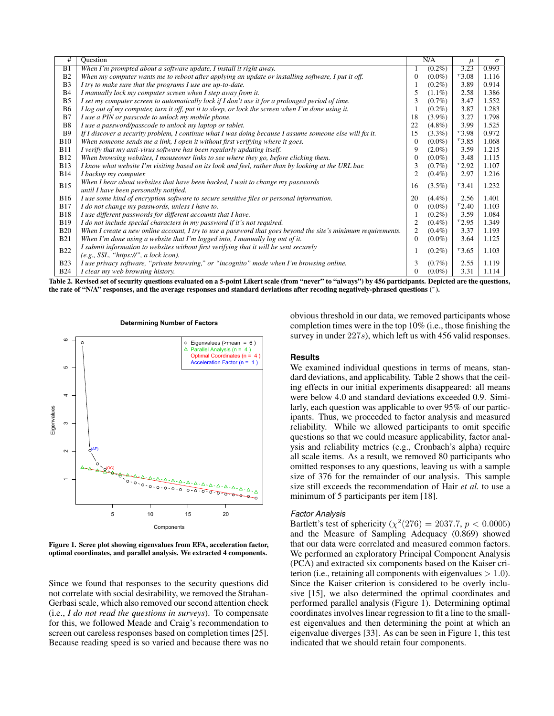| #              | Question                                                                                                      |                | N/A       | $\mu$      | $\sigma$ |
|----------------|---------------------------------------------------------------------------------------------------------------|----------------|-----------|------------|----------|
| B1             | When I'm prompted about a software update, I install it right away.                                           |                | $(0.2\%)$ | 3.23       | 0.993    |
| B <sub>2</sub> | When my computer wants me to reboot after applying an update or installing software, I put it off.            | 0              | $(0.0\%)$ | $r_{3.08}$ | 1.116    |
| B <sub>3</sub> | I try to make sure that the programs I use are up-to-date.                                                    |                | $(0.2\%)$ | 3.89       | 0.914    |
| B <sub>4</sub> | I manually lock my computer screen when I step away from it.                                                  | 5              | $(1.1\%)$ | 2.58       | 1.386    |
| B <sub>5</sub> | I set my computer screen to automatically lock if I don't use it for a prolonged period of time.              | 3              | $(0.7\%)$ | 3.47       | 1.552    |
| <b>B6</b>      | I log out of my computer, turn it off, put it to sleep, or lock the screen when I'm done using it.            |                | $(0.2\%)$ | 3.87       | 1.283    |
| B7             | I use a PIN or passcode to unlock my mobile phone.                                                            | 18             | $(3.9\%)$ | 3.27       | 1.798    |
| B <sub>8</sub> | I use a password/passcode to unlock my laptop or tablet.                                                      | 22             | $(4.8\%)$ | 3.99       | 1.525    |
| <b>B</b> 9     | If I discover a security problem, I continue what I was doing because I assume someone else will fix it.      | 15             | $(3.3\%)$ | r3.98      | 0.972    |
| <b>B10</b>     | When someone sends me a link, I open it without first verifying where it goes.                                | $\Omega$       | $(0.0\%)$ | r3.85      | 1.068    |
| <b>B11</b>     | I verify that my anti-virus software has been regularly updating itself.                                      | 9              | $(2.0\%)$ | 3.59       | 1.215    |
| <b>B12</b>     | When browsing websites, I mouseover links to see where they go, before clicking them.                         | 0              | $(0.0\%)$ | 3.48       | 1.115    |
| <b>B13</b>     | I know what website I'm visiting based on its look and feel, rather than by looking at the URL bar.           | 3              | $(0.7\%)$ | $r_{2.92}$ | 1.107    |
| <b>B14</b>     | I backup my computer.                                                                                         | $\overline{2}$ | $(0.4\%)$ | 2.97       | 1.216    |
| <b>B15</b>     | When I hear about websites that have been hacked, I wait to change my passwords                               | 16             | $(3.5\%)$ | $r_{3,41}$ | 1.232    |
|                | until I have been personally notified.                                                                        |                |           |            |          |
| <b>B16</b>     | I use some kind of encryption software to secure sensitive files or personal information.                     | 20             | $(4.4\%)$ | 2.56       | 1.401    |
| <b>B17</b>     | I do not change my passwords, unless I have to.                                                               | $\Omega$       | $(0.0\%)$ | $r_{2,40}$ | 1.103    |
| <b>B18</b>     | I use different passwords for different accounts that I have.                                                 |                | $(0.2\%)$ | 3.59       | 1.084    |
| <b>B19</b>     | I do not include special characters in my password if it's not required.                                      | 2              | $(0.4\%)$ | $r_{2.95}$ | 1.349    |
| <b>B20</b>     | When I create a new online account, I try to use a password that goes beyond the site's minimum requirements. | 2              | $(0.4\%)$ | 3.37       | 1.193    |
| <b>B21</b>     | When I'm done using a website that I'm logged into, I manually log out of it.                                 | $\mathbf{0}$   | $(0.0\%)$ | 3.64       | 1.125    |
| <b>B22</b>     | I submit information to websites without first verifying that it will be sent securely                        |                | $(0.2\%)$ | r3.65      | 1.103    |
|                | (e.g., SSL, "https://", a lock icon).                                                                         |                |           |            |          |
| <b>B23</b>     | I use privacy software, "private browsing," or "incognito" mode when I'm browsing online.                     | 3              | $(0.7\%)$ | 2.55       | 1.119    |
| <b>B24</b>     | I clear my web browsing history.                                                                              | $\mathbf{0}$   | $(0.0\%)$ | 3.31       | 1.114    |

<span id="page-4-0"></span>Table 2. Revised set of security questions evaluated on a 5-point Likert scale (from "never" to "always") by 456 participants. Depicted are the questions, the rate of "N/A" responses, and the average responses and standard deviations after recoding negatively-phrased questions (").



<span id="page-4-1"></span>Figure 1. Scree plot showing eigenvalues from EFA, acceleration factor, optimal coordinates, and parallel analysis. We extracted 4 components.

Since we found that responses to the security questions did not correlate with social desirability, we removed the Strahan-Gerbasi scale, which also removed our second attention check (i.e., *I do not read the questions in surveys*). To compensate for this, we followed Meade and Craig's recommendation to screen out careless responses based on completion times [\[25\]](#page-9-17). Because reading speed is so varied and because there was no obvious threshold in our data, we removed participants whose completion times were in the top 10% (i.e., those finishing the survey in under 227s), which left us with 456 valid responses.

#### **Results**

We examined individual questions in terms of means, standard deviations, and applicability. Table [2](#page-4-0) shows that the ceiling effects in our initial experiments disappeared: all means were below 4.0 and standard deviations exceeded 0.9. Similarly, each question was applicable to over 95% of our participants. Thus, we proceeded to factor analysis and measured reliability. While we allowed participants to omit specific questions so that we could measure applicability, factor analysis and reliability metrics (e.g., Cronbach's alpha) require all scale items. As a result, we removed 80 participants who omitted responses to any questions, leaving us with a sample size of 376 for the remainder of our analysis. This sample size still exceeds the recommendation of Hair *et al.* to use a minimum of 5 participants per item [\[18\]](#page-8-14).

#### *Factor Analysis*

Bartlett's test of sphericity ( $\chi^2(276) = 2037.7, p < 0.0005$ ) and the Measure of Sampling Adequacy (0.869) showed that our data were correlated and measured common factors. We performed an exploratory Principal Component Analysis (PCA) and extracted six components based on the Kaiser criterion (i.e., retaining all components with eigenvalues  $> 1.0$ ). Since the Kaiser criterion is considered to be overly inclusive [\[15\]](#page-8-15), we also determined the optimal coordinates and performed parallel analysis (Figure [1\)](#page-4-1). Determining optimal coordinates involves linear regression to fit a line to the smallest eigenvalues and then determining the point at which an eigenvalue diverges [\[33\]](#page-9-18). As can be seen in Figure [1,](#page-4-1) this test indicated that we should retain four components.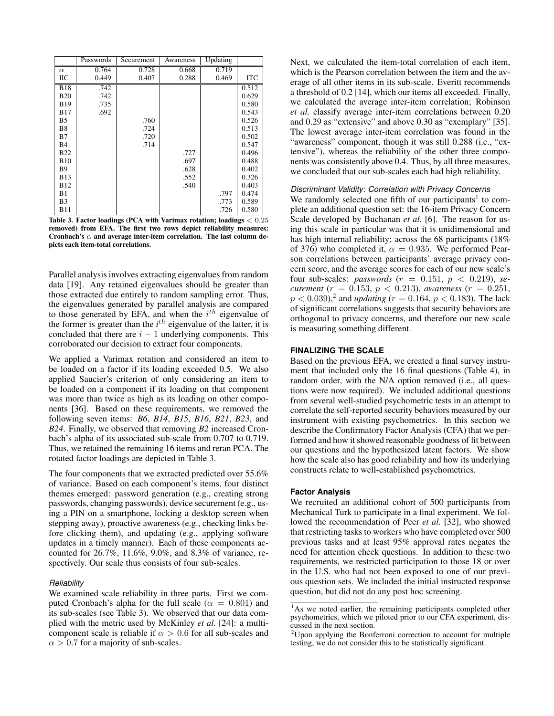|                | Passwords | Securement | Awareness | Updating |            |
|----------------|-----------|------------|-----------|----------|------------|
| $\alpha$       | 0.764     | 0.728      | 0.668     | 0.719    |            |
| IІС            | 0.449     | 0.407      | 0.288     | 0.469    | <b>ITC</b> |
| <b>B18</b>     | .742      |            |           |          | 0.512      |
| <b>B20</b>     | .742      |            |           |          | 0.629      |
| <b>B19</b>     | .735      |            |           |          | 0.580      |
| <b>B17</b>     | .692      |            |           |          | 0.543      |
| B5             |           | .760       |           |          | 0.526      |
| B8             |           | .724       |           |          | 0.513      |
| B7             |           | .720       |           |          | 0.502      |
| <b>B</b> 4     |           | .714       |           |          | 0.547      |
| <b>B22</b>     |           |            | .727      |          | 0.496      |
| <b>B10</b>     |           |            | .697      |          | 0.488      |
| <b>B</b> 9     |           |            | .628      |          | 0.402      |
| <b>B</b> 13    |           |            | .552      |          | 0.326      |
| <b>B12</b>     |           |            | .540      |          | 0.403      |
| B1             |           |            |           | .797     | 0.474      |
| B <sub>3</sub> |           |            |           | .773     | 0.589      |
| <b>B11</b>     |           |            |           | .726     | 0.580      |

<span id="page-5-0"></span>Table 3. Factor loadings (PCA with Varimax rotation; loadings < 0.25 removed) from EFA. The first two rows depict reliability measures: Cronbach's  $\alpha$  and average inter-item correlation. The last column depicts each item-total correlations.

Parallel analysis involves extracting eigenvalues from random data [\[19\]](#page-8-16). Any retained eigenvalues should be greater than those extracted due entirely to random sampling error. Thus, the eigenvalues generated by parallel analysis are compared to those generated by EFA, and when the  $i^{th}$  eigenvalue of the former is greater than the  $i<sup>th</sup>$  eigenvalue of the latter, it is concluded that there are  $i - 1$  underlying components. This corroborated our decision to extract four components.

We applied a Varimax rotation and considered an item to be loaded on a factor if its loading exceeded 0.5. We also applied Saucier's criterion of only considering an item to be loaded on a component if its loading on that component was more than twice as high as its loading on other components [\[36\]](#page-9-19). Based on these requirements, we removed the following seven items: *B6*, *B14*, *B15*, *B16*, *B21*, *B23*, and *B24*. Finally, we observed that removing *B2* increased Cronbach's alpha of its associated sub-scale from 0.707 to 0.719. Thus, we retained the remaining 16 items and reran PCA. The rotated factor loadings are depicted in Table [3.](#page-5-0)

The four components that we extracted predicted over 55.6% of variance. Based on each component's items, four distinct themes emerged: password generation (e.g., creating strong passwords, changing passwords), device securement (e.g., using a PIN on a smartphone, locking a desktop screen when stepping away), proactive awareness (e.g., checking links before clicking them), and updating (e.g., applying software updates in a timely manner). Each of these components accounted for 26.7%, 11.6%, 9.0%, and 8.3% of variance, respectively. Our scale thus consists of four sub-scales.

#### *Reliability*

We examined scale reliability in three parts. First we computed Cronbach's alpha for the full scale ( $\alpha = 0.801$ ) and its sub-scales (see Table [3\)](#page-5-0). We observed that our data complied with the metric used by McKinley *et al.* [\[24\]](#page-9-20): a multicomponent scale is reliable if  $\alpha > 0.6$  for all sub-scales and  $\alpha > 0.7$  for a majority of sub-scales.

Next, we calculated the item-total correlation of each item, which is the Pearson correlation between the item and the average of all other items in its sub-scale. Everitt recommends a threshold of 0.2 [\[14\]](#page-8-13), which our items all exceeded. Finally, we calculated the average inter-item correlation; Robinson *et al.* classify average inter-item correlations between 0.20 and 0.29 as "extensive" and above 0.30 as "exemplary" [\[35\]](#page-9-21). The lowest average inter-item correlation was found in the "awareness" component, though it was still 0.288 (i.e., "extensive"), whereas the reliability of the other three components was consistently above 0.4. Thus, by all three measures, we concluded that our sub-scales each had high reliability.

## *Discriminant Validity: Correlation with Privacy Concerns*

We randomly selected one fifth of our participants<sup>[1](#page-5-1)</sup> to complete an additional question set: the 16-item Privacy Concern Scale developed by Buchanan *et al.* [\[6\]](#page-8-10). The reason for using this scale in particular was that it is unidimensional and has high internal reliability; across the 68 participants (18% of 376) who completed it,  $\alpha = 0.935$ . We performed Pearson correlations between participants' average privacy concern score, and the average scores for each of our new scale's four sub-scales: *passwords* (r = 0.151, p < 0.219), *securement* ( $r = 0.153$ ,  $p < 0.213$ ), *awareness* ( $r = 0.251$ ,  $p < 0.039$ <sup>[2](#page-5-2)</sup>, and *updating* ( $r = 0.164$ ,  $p < 0.183$ ). The lack of significant correlations suggests that security behaviors are orthogonal to privacy concerns, and therefore our new scale is measuring something different.

#### **FINALIZING THE SCALE**

Based on the previous EFA, we created a final survey instrument that included only the 16 final questions (Table [4\)](#page-6-0), in random order, with the N/A option removed (i.e., all questions were now required). We included additional questions from several well-studied psychometric tests in an attempt to correlate the self-reported security behaviors measured by our instrument with existing psychometrics. In this section we describe the Confirmatory Factor Analysis (CFA) that we performed and how it showed reasonable goodness of fit between our questions and the hypothesized latent factors. We show how the scale also has good reliability and how its underlying constructs relate to well-established psychometrics.

#### **Factor Analysis**

We recruited an additional cohort of 500 participants from Mechanical Turk to participate in a final experiment. We followed the recommendation of Peer *et al.* [\[32\]](#page-9-22), who showed that restricting tasks to workers who have completed over 500 previous tasks and at least 95% approval rates negates the need for attention check questions. In addition to these two requirements, we restricted participation to those 18 or over in the U.S. who had not been exposed to one of our previous question sets. We included the initial instructed response question, but did not do any post hoc screening.

<span id="page-5-1"></span><sup>&</sup>lt;sup>1</sup>As we noted earlier, the remaining participants completed other psychometrics, which we piloted prior to our CFA experiment, discussed in the next section.

<span id="page-5-2"></span> $2$ Upon applying the Bonferroni correction to account for multiple testing, we do not consider this to be statistically significant.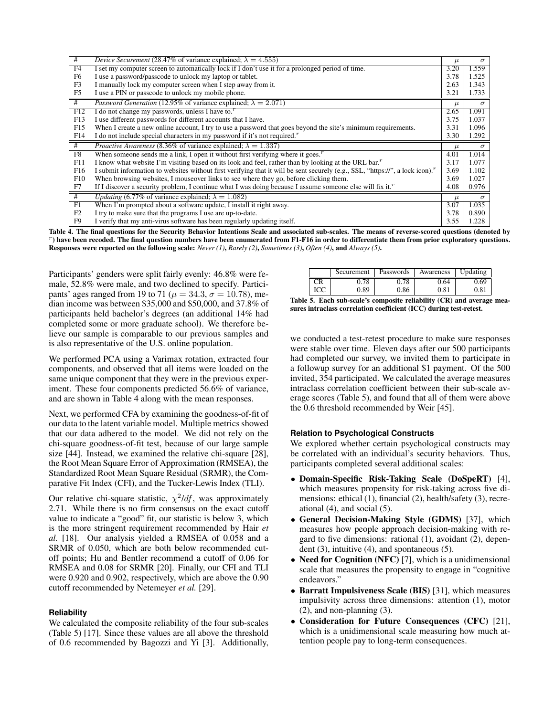| #               | <i>Device Securement</i> (28.47% of variance explained; $\lambda = 4.555$ )                                                        | $\mu$ | $\sigma$ |
|-----------------|------------------------------------------------------------------------------------------------------------------------------------|-------|----------|
| F4              | I set my computer screen to automatically lock if I don't use it for a prolonged period of time.                                   | 3.20  | 1.559    |
| F <sub>6</sub>  | I use a password/passcode to unlock my laptop or tablet.                                                                           | 3.78  | 1.525    |
| F <sub>3</sub>  | I manually lock my computer screen when I step away from it.                                                                       | 2.63  | 1.343    |
| F <sub>5</sub>  | I use a PIN or passcode to unlock my mobile phone.                                                                                 | 3.21  | 1.733    |
| #               | <i>Password Generation</i> (12.95% of variance explained; $\lambda = 2.071$ )                                                      | $\mu$ | $\sigma$ |
| F12             | I do not change my passwords, unless I have to."                                                                                   | 2.65  | 1.091    |
| F13             | I use different passwords for different accounts that I have.                                                                      | 3.75  | 1.037    |
| F15             | When I create a new online account, I try to use a password that goes beyond the site's minimum requirements.                      | 3.31  | 1.096    |
| F14             | I do not include special characters in my password if it's not required."                                                          | 3.30  | 1.292    |
|                 |                                                                                                                                    |       |          |
| #               | <i>Proactive Awareness</i> (8.36% of variance explained; $\lambda = 1.337$ )                                                       | $\mu$ | $\sigma$ |
| F8              | When someone sends me a link, I open it without first verifying where it goes. <sup><math>r</math></sup>                           | 4.01  | 1.014    |
| F11             | I know what website I'm visiting based on its look and feel, rather than by looking at the URL bar. <sup>r</sup>                   | 3.17  | 1.077    |
| F <sub>16</sub> | I submit information to websites without first verifying that it will be sent securely (e.g., SSL, "https://", a lock icon)."      | 3.69  | 1.102    |
| F10             | When browsing websites, I mouseover links to see where they go, before clicking them.                                              | 3.69  | 1.027    |
| F7              | If I discover a security problem, I continue what I was doing because I assume someone else will fix it. <sup><math>r</math></sup> | 4.08  | 0.976    |
| #               | <i>Updating</i> (6.77% of variance explained; $\lambda = 1.082$ )                                                                  | $\mu$ | $\sigma$ |
| F1              | When I'm prompted about a software update, I install it right away.                                                                | 3.07  | 1.035    |
| F <sub>2</sub>  | I try to make sure that the programs I use are up-to-date.                                                                         | 3.78  | 0.890    |

<span id="page-6-0"></span>Table 4. The final questions for the Security Behavior Intentions Scale and associated sub-scales. The means of reverse-scored questions (denoted by r ) have been recoded. The final question numbers have been enumerated from F1-F16 in order to differentiate them from prior exploratory questions. Responses were reported on the following scale: *Never (1)*, *Rarely (2)*, *Sometimes (3)*, *Often (4)*, and *Always (5)*.

Participants' genders were split fairly evenly: 46.8% were female, 52.8% were male, and two declined to specify. Participants' ages ranged from 19 to 71 ( $\mu = 34.3$ ,  $\sigma = 10.78$ ), median income was between \$35,000 and \$50,000, and 37.8% of participants held bachelor's degrees (an additional 14% had completed some or more graduate school). We therefore believe our sample is comparable to our previous samples and is also representative of the U.S. online population.

We performed PCA using a Varimax rotation, extracted four components, and observed that all items were loaded on the same unique component that they were in the previous experiment. These four components predicted 56.6% of variance, and are shown in Table [4](#page-6-0) along with the mean responses.

Next, we performed CFA by examining the goodness-of-fit of our data to the latent variable model. Multiple metrics showed that our data adhered to the model. We did not rely on the chi-square goodness-of-fit test, because of our large sample size [\[44\]](#page-9-23). Instead, we examined the relative chi-square [\[28\]](#page-9-24), the Root Mean Square Error of Approximation (RMSEA), the Standardized Root Mean Square Residual (SRMR), the Comparative Fit Index (CFI), and the Tucker-Lewis Index (TLI).

Our relative chi-square statistic,  $\chi^2/df$ , was approximately 2.71. While there is no firm consensus on the exact cutoff value to indicate a "good" fit, our statistic is below 3, which is the more stringent requirement recommended by Hair *et al.* [\[18\]](#page-8-14). Our analysis yielded a RMSEA of 0.058 and a SRMR of 0.050, which are both below recommended cutoff points; Hu and Bentler recommend a cutoff of 0.06 for RMSEA and 0.08 for SRMR [\[20\]](#page-8-17). Finally, our CFI and TLI were 0.920 and 0.902, respectively, which are above the 0.90 cutoff recommended by Netemeyer *et al.* [\[29\]](#page-9-6).

#### **Reliability**

We calculated the composite reliability of the four sub-scales (Table [5\)](#page-6-1) [\[17\]](#page-8-18). Since these values are all above the threshold of 0.6 recommended by Bagozzi and Yi [\[3\]](#page-8-19). Additionally,

|     | Securement | Passwords | Awareness | Updating |
|-----|------------|-----------|-----------|----------|
| CR  | 0.78       | 0.78      | 0.64      | 0.69     |
| ICC | 0.89       | 0.86      | 0.81      | $_{0.8}$ |

<span id="page-6-1"></span>Table 5. Each sub-scale's composite reliability (CR) and average measures intraclass correlation coefficient (ICC) during test-retest.

we conducted a test-retest procedure to make sure responses were stable over time. Eleven days after our 500 participants had completed our survey, we invited them to participate in a followup survey for an additional \$1 payment. Of the 500 invited, 354 participated. We calculated the average measures intraclass correlation coefficient between their sub-scale average scores (Table [5\)](#page-6-1), and found that all of them were above the 0.6 threshold recommended by Weir [\[45\]](#page-9-25).

#### **Relation to Psychological Constructs**

We explored whether certain psychological constructs may be correlated with an individual's security behaviors. Thus, participants completed several additional scales:

- Domain-Specific Risk-Taking Scale (DoSpeRT) [\[4\]](#page-8-4), which measures propensity for risk-taking across five dimensions: ethical (1), financial (2), health/safety (3), recreational  $(4)$ , and social  $(5)$ .
- General Decision-Making Style (GDMS) [\[37\]](#page-9-26), which measures how people approach decision-making with regard to five dimensions: rational (1), avoidant (2), dependent (3), intuitive (4), and spontaneous (5).
- Need for Cognition (NFC) [\[7\]](#page-8-20), which is a unidimensional scale that measures the propensity to engage in "cognitive endeavors."
- Barratt Impulsiveness Scale (BIS) [\[31\]](#page-9-9), which measures impulsivity across three dimensions: attention (1), motor (2), and non-planning (3).
- Consideration for Future Consequences (CFC) [\[21\]](#page-8-5), which is a unidimensional scale measuring how much attention people pay to long-term consequences.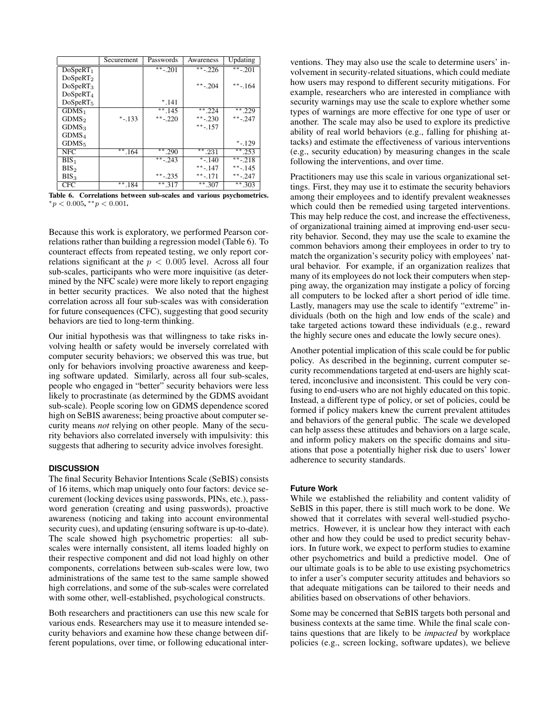|                      | Securement | Passwords         | Awareness   | Updating    |
|----------------------|------------|-------------------|-------------|-------------|
| DoSpeRT <sub>1</sub> |            | $***-201$         | $***$ - 226 | $** - 201$  |
| DoSpeRT <sub>2</sub> |            |                   |             |             |
| DoSpeRT <sub>3</sub> |            |                   | **-.204     | $***-164$   |
| DoSpeRT <sub>4</sub> |            |                   |             |             |
| DoSpeRT <sub>5</sub> |            | $*$ .141          |             |             |
| GDMS <sub>1</sub>    |            | $**.145$          | $***.224$   | $**.229$    |
| GDMS <sub>2</sub>    | $* - 133$  | **-.220           | **-.230     | $***-247$   |
| GDMS <sub>3</sub>    |            |                   | $***-157$   |             |
| GDMS <sub>4</sub>    |            |                   |             |             |
| GDMS <sub>5</sub>    |            |                   |             | $* - 129$   |
| NFC.                 | $**.164$   | $**.290$          | $***.231$   | $*$ 253     |
| $BIS_1$              |            | $\sqrt{18}$ - 243 | $* - 140$   | $** - 218$  |
| BIS <sub>2</sub>     |            |                   | $***-147$   | $***-145$   |
| BIS <sub>3</sub>     |            | $***-0.235$       | $***-171$   | $***-0.247$ |
| <b>CFC</b>           | **<br>.184 | $** 317$          | $** .307$   | $** .303$   |

<span id="page-7-0"></span>Table 6. Correlations between sub-scales and various psychometrics.  $*_p$  < 0.005,  $*_p$  < 0.001.

Because this work is exploratory, we performed Pearson correlations rather than building a regression model (Table [6\)](#page-7-0). To counteract effects from repeated testing, we only report correlations significant at the  $p < 0.005$  level. Across all four sub-scales, participants who were more inquisitive (as determined by the NFC scale) were more likely to report engaging in better security practices. We also noted that the highest correlation across all four sub-scales was with consideration for future consequences (CFC), suggesting that good security behaviors are tied to long-term thinking.

Our initial hypothesis was that willingness to take risks involving health or safety would be inversely correlated with computer security behaviors; we observed this was true, but only for behaviors involving proactive awareness and keeping software updated. Similarly, across all four sub-scales, people who engaged in "better" security behaviors were less likely to procrastinate (as determined by the GDMS avoidant sub-scale). People scoring low on GDMS dependence scored high on SeBIS awareness; being proactive about computer security means *not* relying on other people. Many of the security behaviors also correlated inversely with impulsivity: this suggests that adhering to security advice involves foresight.

# **DISCUSSION**

The final Security Behavior Intentions Scale (SeBIS) consists of 16 items, which map uniquely onto four factors: device securement (locking devices using passwords, PINs, etc.), password generation (creating and using passwords), proactive awareness (noticing and taking into account environmental security cues), and updating (ensuring software is up-to-date). The scale showed high psychometric properties: all subscales were internally consistent, all items loaded highly on their respective component and did not load highly on other components, correlations between sub-scales were low, two administrations of the same test to the same sample showed high correlations, and some of the sub-scales were correlated with some other, well-established, psychological constructs.

Both researchers and practitioners can use this new scale for various ends. Researchers may use it to measure intended security behaviors and examine how these change between different populations, over time, or following educational interventions. They may also use the scale to determine users' involvement in security-related situations, which could mediate how users may respond to different security mitigations. For example, researchers who are interested in compliance with security warnings may use the scale to explore whether some types of warnings are more effective for one type of user or another. The scale may also be used to explore its predictive ability of real world behaviors (e.g., falling for phishing attacks) and estimate the effectiveness of various interventions (e.g., security education) by measuring changes in the scale following the interventions, and over time.

Practitioners may use this scale in various organizational settings. First, they may use it to estimate the security behaviors among their employees and to identify prevalent weaknesses which could then be remedied using targeted interventions. This may help reduce the cost, and increase the effectiveness, of organizational training aimed at improving end-user security behavior. Second, they may use the scale to examine the common behaviors among their employees in order to try to match the organization's security policy with employees' natural behavior. For example, if an organization realizes that many of its employees do not lock their computers when stepping away, the organization may instigate a policy of forcing all computers to be locked after a short period of idle time. Lastly, managers may use the scale to identify "extreme" individuals (both on the high and low ends of the scale) and take targeted actions toward these individuals (e.g., reward the highly secure ones and educate the lowly secure ones).

Another potential implication of this scale could be for public policy. As described in the beginning, current computer security recommendations targeted at end-users are highly scattered, inconclusive and inconsistent. This could be very confusing to end-users who are not highly educated on this topic. Instead, a different type of policy, or set of policies, could be formed if policy makers knew the current prevalent attitudes and behaviors of the general public. The scale we developed can help assess these attitudes and behaviors on a large scale, and inform policy makers on the specific domains and situations that pose a potentially higher risk due to users' lower adherence to security standards.

# **Future Work**

While we established the reliability and content validity of SeBIS in this paper, there is still much work to be done. We showed that it correlates with several well-studied psychometrics. However, it is unclear how they interact with each other and how they could be used to predict security behaviors. In future work, we expect to perform studies to examine other psychometrics and build a predictive model. One of our ultimate goals is to be able to use existing psychometrics to infer a user's computer security attitudes and behaviors so that adequate mitigations can be tailored to their needs and abilities based on observations of other behaviors.

Some may be concerned that SeBIS targets both personal and business contexts at the same time. While the final scale contains questions that are likely to be *impacted* by workplace policies (e.g., screen locking, software updates), we believe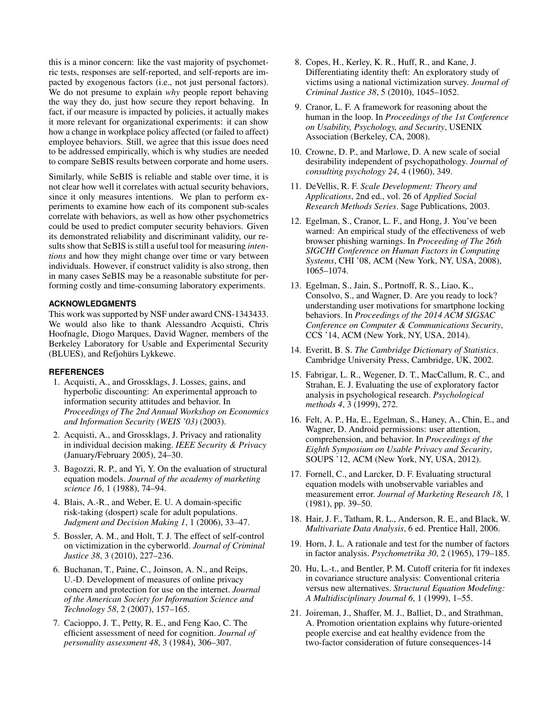this is a minor concern: like the vast majority of psychometric tests, responses are self-reported, and self-reports are impacted by exogenous factors (i.e., not just personal factors). We do not presume to explain *why* people report behaving the way they do, just how secure they report behaving. In fact, if our measure is impacted by policies, it actually makes it more relevant for organizational experiments: it can show how a change in workplace policy affected (or failed to affect) employee behaviors. Still, we agree that this issue does need to be addressed empirically, which is why studies are needed to compare SeBIS results between corporate and home users.

Similarly, while SeBIS is reliable and stable over time, it is not clear how well it correlates with actual security behaviors, since it only measures intentions. We plan to perform experiments to examine how each of its component sub-scales correlate with behaviors, as well as how other psychometrics could be used to predict computer security behaviors. Given its demonstrated reliability and discriminant validity, our results show that SeBIS is still a useful tool for measuring *intentions* and how they might change over time or vary between individuals. However, if construct validity is also strong, then in many cases SeBIS may be a reasonable substitute for performing costly and time-consuming laboratory experiments.

# **ACKNOWLEDGMENTS**

This work was supported by NSF under award CNS-1343433. We would also like to thank Alessandro Acquisti, Chris Hoofnagle, Diogo Marques, David Wagner, members of the Berkeley Laboratory for Usable and Experimental Security (BLUES), and Refjohürs Lykkewe.

# <span id="page-8-8"></span>**REFERENCES**

- 1. Acquisti, A., and Grossklags, J. Losses, gains, and hyperbolic discounting: An experimental approach to information security attitudes and behavior. In *Proceedings of The 2nd Annual Workshop on Economics and Information Security (WEIS '03)* (2003).
- <span id="page-8-9"></span>2. Acquisti, A., and Grossklags, J. Privacy and rationality in individual decision making. *IEEE Security & Privacy* (January/February 2005), 24–30.
- <span id="page-8-19"></span>3. Bagozzi, R. P., and Yi, Y. On the evaluation of structural equation models. *Journal of the academy of marketing science 16*, 1 (1988), 74–94.
- <span id="page-8-4"></span>4. Blais, A.-R., and Weber, E. U. A domain-specific risk-taking (dospert) scale for adult populations. *Judgment and Decision Making 1*, 1 (2006), 33–47.
- <span id="page-8-7"></span>5. Bossler, A. M., and Holt, T. J. The effect of self-control on victimization in the cyberworld. *Journal of Criminal Justice 38*, 3 (2010), 227–236.
- <span id="page-8-10"></span>6. Buchanan, T., Paine, C., Joinson, A. N., and Reips, U.-D. Development of measures of online privacy concern and protection for use on the internet. *Journal of the American Society for Information Science and Technology 58*, 2 (2007), 157–165.
- <span id="page-8-20"></span>7. Cacioppo, J. T., Petty, R. E., and Feng Kao, C. The efficient assessment of need for cognition. *Journal of personality assessment 48*, 3 (1984), 306–307.
- <span id="page-8-6"></span>8. Copes, H., Kerley, K. R., Huff, R., and Kane, J. Differentiating identity theft: An exploratory study of victims using a national victimization survey. *Journal of Criminal Justice 38*, 5 (2010), 1045–1052.
- <span id="page-8-1"></span>9. Cranor, L. F. A framework for reasoning about the human in the loop. In *Proceedings of the 1st Conference on Usability, Psychology, and Security*, USENIX Association (Berkeley, CA, 2008).
- <span id="page-8-11"></span>10. Crowne, D. P., and Marlowe, D. A new scale of social desirability independent of psychopathology. *Journal of consulting psychology 24*, 4 (1960), 349.
- <span id="page-8-0"></span>11. DeVellis, R. F. *Scale Development: Theory and Applications*, 2nd ed., vol. 26 of *Applied Social Research Methods Series*. Sage Publications, 2003.
- <span id="page-8-2"></span>12. Egelman, S., Cranor, L. F., and Hong, J. You've been warned: An empirical study of the effectiveness of web browser phishing warnings. In *Proceeding of The 26th SIGCHI Conference on Human Factors in Computing Systems*, CHI '08, ACM (New York, NY, USA, 2008), 1065–1074.
- <span id="page-8-12"></span>13. Egelman, S., Jain, S., Portnoff, R. S., Liao, K., Consolvo, S., and Wagner, D. Are you ready to lock? understanding user motivations for smartphone locking behaviors. In *Proceedings of the 2014 ACM SIGSAC Conference on Computer & Communications Security*, CCS '14, ACM (New York, NY, USA, 2014).
- <span id="page-8-13"></span>14. Everitt, B. S. *The Cambridge Dictionary of Statistics*. Cambridge University Press, Cambridge, UK, 2002.
- <span id="page-8-15"></span>15. Fabrigar, L. R., Wegener, D. T., MacCallum, R. C., and Strahan, E. J. Evaluating the use of exploratory factor analysis in psychological research. *Psychological methods 4*, 3 (1999), 272.
- <span id="page-8-3"></span>16. Felt, A. P., Ha, E., Egelman, S., Haney, A., Chin, E., and Wagner, D. Android permissions: user attention, comprehension, and behavior. In *Proceedings of the Eighth Symposium on Usable Privacy and Security*, SOUPS '12, ACM (New York, NY, USA, 2012).
- <span id="page-8-18"></span>17. Fornell, C., and Larcker, D. F. Evaluating structural equation models with unobservable variables and measurement error. *Journal of Marketing Research 18*, 1 (1981), pp. 39–50.
- <span id="page-8-14"></span>18. Hair, J. F., Tatham, R. L., Anderson, R. E., and Black, W. *Multivariate Data Analysis*, 6 ed. Prentice Hall, 2006.
- <span id="page-8-16"></span>19. Horn, J. L. A rationale and test for the number of factors in factor analysis. *Psychometrika 30*, 2 (1965), 179–185.
- <span id="page-8-17"></span>20. Hu, L.-t., and Bentler, P. M. Cutoff criteria for fit indexes in covariance structure analysis: Conventional criteria versus new alternatives. *Structural Equation Modeling: A Multidisciplinary Journal 6*, 1 (1999), 1–55.
- <span id="page-8-5"></span>21. Joireman, J., Shaffer, M. J., Balliet, D., and Strathman, A. Promotion orientation explains why future-oriented people exercise and eat healthy evidence from the two-factor consideration of future consequences-14